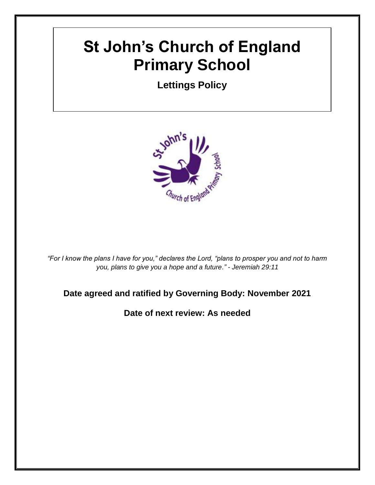# **St John's Church of England Primary School**

**Lettings Policy**



*"For I know the plans I have for you," declares the Lord, "plans to prosper you and not to harm you, plans to give you a hope and a future." - Jeremiah 29:11*

## **Date agreed and ratified by Governing Body: November 2021**

**Date of next review: As needed**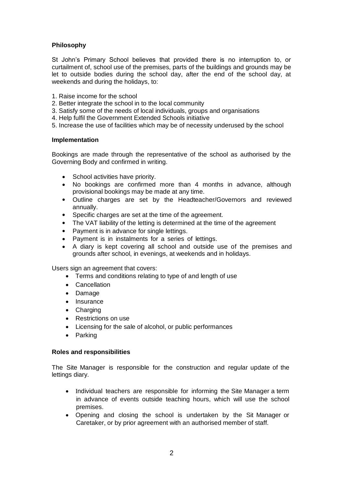### **Philosophy**

St John's Primary School believes that provided there is no interruption to, or curtailment of, school use of the premises, parts of the buildings and grounds may be let to outside bodies during the school day, after the end of the school day, at weekends and during the holidays, to:

- 1. Raise income for the school
- 2. Better integrate the school in to the local community
- 3. Satisfy some of the needs of local individuals, groups and organisations
- 4. Help fulfil the Government Extended Schools initiative
- 5. Increase the use of facilities which may be of necessity underused by the school

#### **Implementation**

Bookings are made through the representative of the school as authorised by the Governing Body and confirmed in writing.

- School activities have priority.
- No bookings are confirmed more than 4 months in advance, although provisional bookings may be made at any time.
- Outline charges are set by the Headteacher/Governors and reviewed annually.
- Specific charges are set at the time of the agreement.
- The VAT liability of the letting is determined at the time of the agreement
- Payment is in advance for single lettings.
- Payment is in instalments for a series of lettings.
- A diary is kept covering all school and outside use of the premises and grounds after school, in evenings, at weekends and in holidays.

Users sign an agreement that covers:

- Terms and conditions relating to type of and length of use
- Cancellation
- Damage
- Insurance
- Charging
- Restrictions on use
- Licensing for the sale of alcohol, or public performances
- Parking

#### **Roles and responsibilities**

The Site Manager is responsible for the construction and regular update of the lettings diary.

- Individual teachers are responsible for informing the Site Manager a term in advance of events outside teaching hours, which will use the school premises.
- Opening and closing the school is undertaken by the Sit Manager or Caretaker, or by prior agreement with an authorised member of staff.